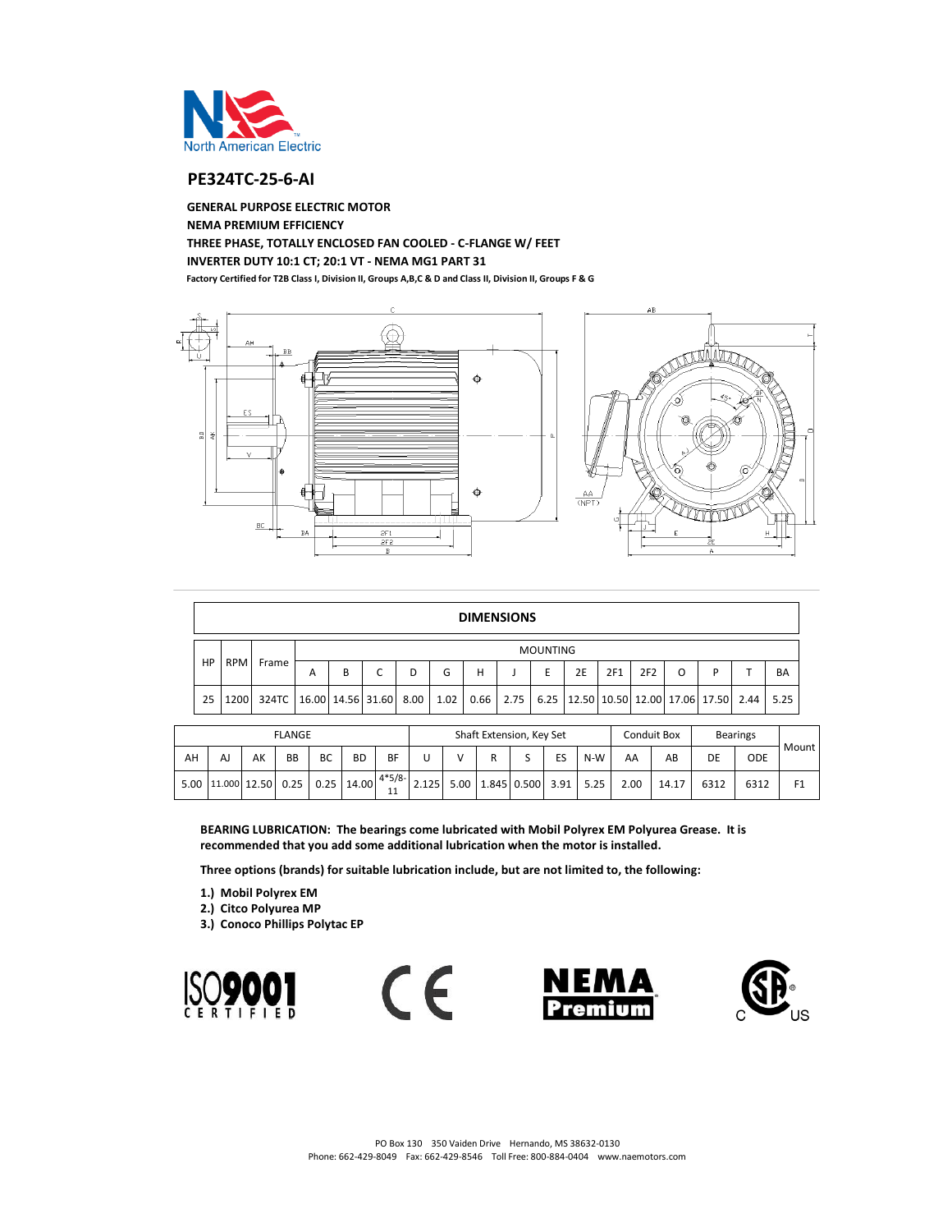

## **PE324TC-25-6-AI**

**NEMA PREMIUM EFFICIENCY THREE PHASE, TOTALLY ENCLOSED FAN COOLED - C-FLANGE W/ FEET INVERTER DUTY 10:1 CT; 20:1 VT - NEMA MG1 PART 31 Factory Certified for T2B Class I, Division II, Groups A,B,C & D and Class II, Division II, Groups F & G GENERAL PURPOSE ELECTRIC MOTOR**



|    | <b>DIMENSIONS</b> |                                      |   |   |  |   |      |   |  |                 |                                                              |     |     |   |   |      |      |
|----|-------------------|--------------------------------------|---|---|--|---|------|---|--|-----------------|--------------------------------------------------------------|-----|-----|---|---|------|------|
|    | <b>RPM</b>        |                                      |   |   |  |   |      |   |  | <b>MOUNTING</b> |                                                              |     |     |   |   |      |      |
| HP |                   | Frame                                | А | В |  | D | G    | н |  | E               | 2E                                                           | 2F1 | 2F2 | O | D |      | BA   |
| 25 | 1200              | 324TC   16.00   14.56   31.60   8.00 |   |   |  |   | 1.02 |   |  |                 | $0.66$   2.75   6.25   12.50   10.50   12.00   17.06   17.50 |     |     |   |   | 2.44 | 5.25 |

| <b>FLANGE</b> |                   |    |           |    |              |           |                      |  | Shaft Extension, Key Set   |    |     |      | Conduit Box | <b>Bearings</b> |            |                |
|---------------|-------------------|----|-----------|----|--------------|-----------|----------------------|--|----------------------------|----|-----|------|-------------|-----------------|------------|----------------|
| AH            | AJ                | AK | <b>BB</b> | BC | <b>BD</b>    | <b>BF</b> |                      |  |                            | ES | N-W | AA   | AB          | DE              | <b>ODE</b> | Mount          |
| 5.00          | 11.000 12.50 0.25 |    |           |    | $0.25$ 14.00 | 11        | $4*5/8$ - 2.125 5.00 |  | 5.00 1.845 0.500 3.91 5.25 |    |     | 2.00 | 14.17       | 6312            | 6312       | F <sub>1</sub> |

**BEARING LUBRICATION: The bearings come lubricated with Mobil Polyrex EM Polyurea Grease. It is recommended that you add some additional lubrication when the motor is installed.**

**Three options (brands) for suitable lubrication include, but are not limited to, the following:**

- **1.) Mobil Polyrex EM**
- **2.) Citco Polyurea MP**
- **3.) Conoco Phillips Polytac EP**